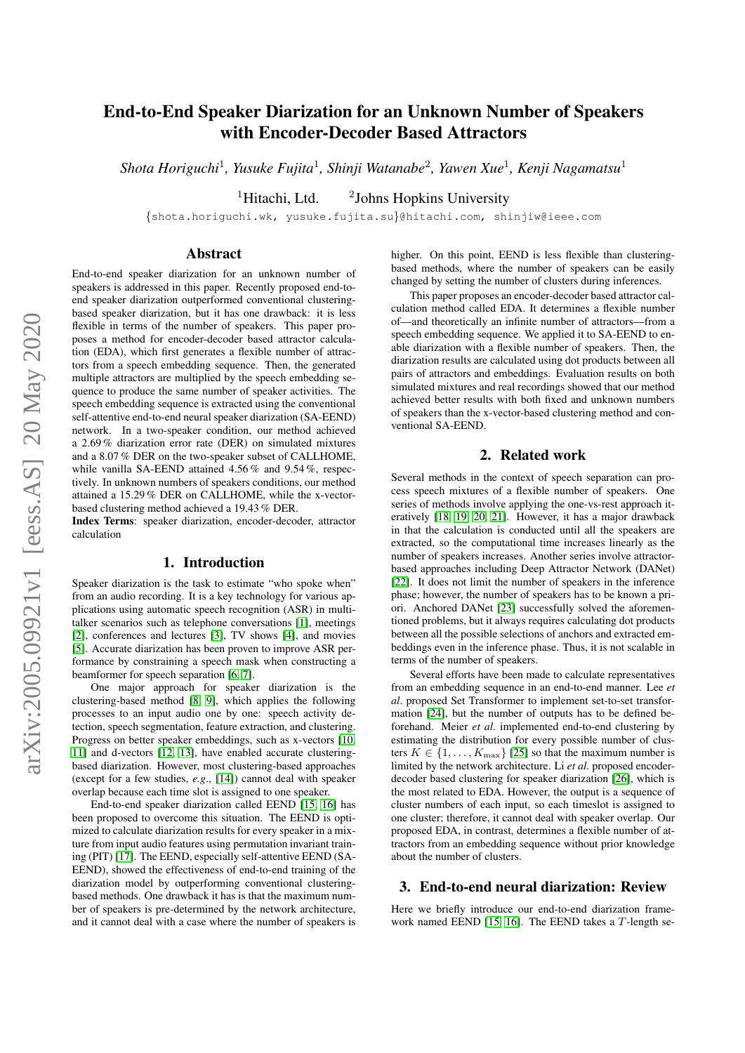# End-to-End Speaker Diarization for an Unknown Number of Speakers with Encoder-Decoder Based Attractors

Shota Horiguchi<sup>1</sup>, Yusuke Fujita<sup>1</sup>, Shinji Watanabe<sup>2</sup>, Yawen Xue<sup>1</sup>, Kenji Nagamatsu<sup>1</sup>

 ${}^{1}$ Hitachi, Ltd. <sup>2</sup>Johns Hopkins University

{shota.horiguchi.wk, yusuke.fujita.su}@hitachi.com, shinjiw@ieee.com

### Abstract

End-to-end speaker diarization for an unknown number of speakers is addressed in this paper. Recently proposed end-toend speaker diarization outperformed conventional clusteringbased speaker diarization, but it has one drawback: it is less flexible in terms of the number of speakers. This paper proposes a method for encoder-decoder based attractor calculation (EDA), which first generates a flexible number of attractors from a speech embedding sequence. Then, the generated multiple attractors are multiplied by the speech embedding sequence to produce the same number of speaker activities. The speech embedding sequence is extracted using the conventional self-attentive end-to-end neural speaker diarization (SA-EEND) network. In a two-speaker condition, our method achieved a 2.69 % diarization error rate (DER) on simulated mixtures and a 8.07 % DER on the two-speaker subset of CALLHOME, while vanilla SA-EEND attained 4.56 % and 9.54 %, respectively. In unknown numbers of speakers conditions, our method attained a 15.29 % DER on CALLHOME, while the x-vectorbased clustering method achieved a 19.43 % DER.

Index Terms: speaker diarization, encoder-decoder, attractor calculation

#### 1. Introduction

Speaker diarization is the task to estimate "who spoke when" from an audio recording. It is a key technology for various applications using automatic speech recognition (ASR) in multitalker scenarios such as telephone conversations [\[1\]](#page-4-0), meetings [\[2\]](#page-4-1), conferences and lectures [\[3\]](#page-4-2), TV shows [\[4\]](#page-4-3), and movies [\[5\]](#page-4-4). Accurate diarization has been proven to improve ASR performance by constraining a speech mask when constructing a beamformer for speech separation [\[6,](#page-4-5) [7\]](#page-4-6).

One major approach for speaker diarization is the clustering-based method [\[8,](#page-4-7) [9\]](#page-4-8), which applies the following processes to an input audio one by one: speech activity detection, speech segmentation, feature extraction, and clustering. Progress on better speaker embeddings, such as x-vectors [\[10,](#page-4-9) [11\]](#page-4-10) and d-vectors [\[12,](#page-4-11) [13\]](#page-4-12), have enabled accurate clusteringbased diarization. However, most clustering-based approaches (except for a few studies, *e.g*., [\[14\]](#page-4-13)) cannot deal with speaker overlap because each time slot is assigned to one speaker.

End-to-end speaker diarization called EEND [\[15,](#page-4-14) [16\]](#page-4-15) has been proposed to overcome this situation. The EEND is optimized to calculate diarization results for every speaker in a mixture from input audio features using permutation invariant training (PIT) [\[17\]](#page-4-16). The EEND, especially self-attentive EEND (SA-EEND), showed the effectiveness of end-to-end training of the diarization model by outperforming conventional clusteringbased methods. One drawback it has is that the maximum number of speakers is pre-determined by the network architecture, and it cannot deal with a case where the number of speakers is higher. On this point, EEND is less flexible than clusteringbased methods, where the number of speakers can be easily changed by setting the number of clusters during inferences.

This paper proposes an encoder-decoder based attractor calculation method called EDA. It determines a flexible number of—and theoretically an infinite number of attractors—from a speech embedding sequence. We applied it to SA-EEND to enable diarization with a flexible number of speakers. Then, the diarization results are calculated using dot products between all pairs of attractors and embeddings. Evaluation results on both simulated mixtures and real recordings showed that our method achieved better results with both fixed and unknown numbers of speakers than the x-vector-based clustering method and conventional SA-EEND.

#### 2. Related work

Several methods in the context of speech separation can process speech mixtures of a flexible number of speakers. One series of methods involve applying the one-vs-rest approach iteratively [\[18,](#page-4-17) [19,](#page-4-18) [20,](#page-4-19) [21\]](#page-4-20). However, it has a major drawback in that the calculation is conducted until all the speakers are extracted, so the computational time increases linearly as the number of speakers increases. Another series involve attractorbased approaches including Deep Attractor Network (DANet) [\[22\]](#page-4-21). It does not limit the number of speakers in the inference phase; however, the number of speakers has to be known a priori. Anchored DANet [\[23\]](#page-4-22) successfully solved the aforementioned problems, but it always requires calculating dot products between all the possible selections of anchors and extracted embeddings even in the inference phase. Thus, it is not scalable in terms of the number of speakers.

Several efforts have been made to calculate representatives from an embedding sequence in an end-to-end manner. Lee *et al*. proposed Set Transformer to implement set-to-set transformation [\[24\]](#page-4-23), but the number of outputs has to be defined beforehand. Meier *et al*. implemented end-to-end clustering by estimating the distribution for every possible number of clusters  $K \in \{1, \ldots, K_{\text{max}}\}$  [\[25\]](#page-4-24) so that the maximum number is limited by the network architecture. Li *et al*. proposed encoderdecoder based clustering for speaker diarization [\[26\]](#page-4-25), which is the most related to EDA. However, the output is a sequence of cluster numbers of each input, so each timeslot is assigned to one cluster; therefore, it cannot deal with speaker overlap. Our proposed EDA, in contrast, determines a flexible number of attractors from an embedding sequence without prior knowledge about the number of clusters.

## 3. End-to-end neural diarization: Review

Here we briefly introduce our end-to-end diarization frame-work named EEND [\[15,](#page-4-14) [16\]](#page-4-15). The EEND takes a T-length se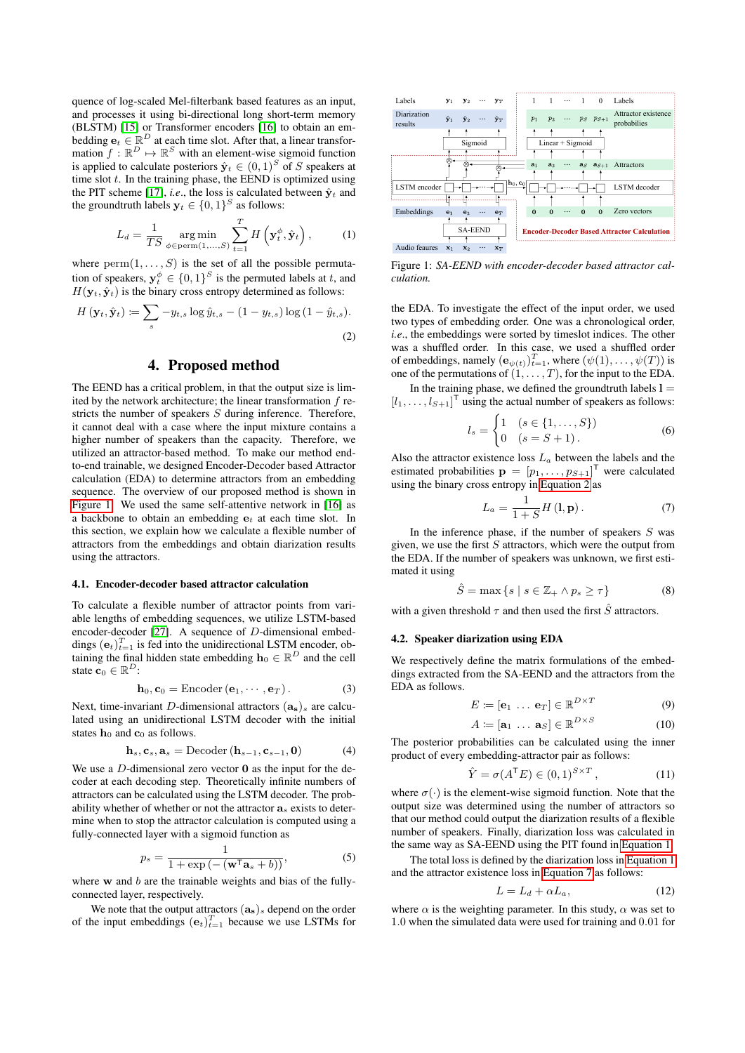quence of log-scaled Mel-filterbank based features as an input, and processes it using bi-directional long short-term memory (BLSTM) [\[15\]](#page-4-14) or Transformer encoders [\[16\]](#page-4-15) to obtain an embedding  $\mathbf{e}_t \in \mathbb{R}^D$  at each time slot. After that, a linear transformation  $f: \mathbb{R}^D \mapsto \mathbb{R}^S$  with an element-wise sigmoid function is applied to calculate posteriors  $\hat{\mathbf{y}}_t \in (0,1)^S$  of S speakers at time slot  $t$ . In the training phase, the EEND is optimized using the PIT scheme [\[17\]](#page-4-16), *i.e.*, the loss is calculated between  $\hat{y}_t$  and the groundtruth labels  $y_t \in \{0,1\}^S$  as follows:

$$
L_d = \frac{1}{TS} \operatorname*{arg\,min}_{\phi \in \text{perm}(1,\dots,S)} \sum_{t=1}^{T} H\left(\mathbf{y}_t^{\phi}, \hat{\mathbf{y}}_t\right),\tag{1}
$$

where  $\text{perm}(1, \ldots, S)$  is the set of all the possible permutation of speakers,  $y_t^{\phi} \in \{0,1\}^S$  is the permuted labels at t, and  $H(\mathbf{y}_t, \hat{\mathbf{y}}_t)$  is the binary cross entropy determined as follows:

$$
H\left(\mathbf{y}_t, \hat{\mathbf{y}}_t\right) \coloneqq \sum_s -y_{t,s} \log \hat{y}_{t,s} - (1 - y_{t,s}) \log \left(1 - \hat{y}_{t,s}\right). \tag{2}
$$

# 4. Proposed method

The EEND has a critical problem, in that the output size is limited by the network architecture; the linear transformation  $f$  restricts the number of speakers  $S$  during inference. Therefore, it cannot deal with a case where the input mixture contains a higher number of speakers than the capacity. Therefore, we utilized an attractor-based method. To make our method endto-end trainable, we designed Encoder-Decoder based Attractor calculation (EDA) to determine attractors from an embedding sequence. The overview of our proposed method is shown in [Figure 1.](#page-1-0) We used the same self-attentive network in [\[16\]](#page-4-15) as a backbone to obtain an embedding  $e_t$  at each time slot. In this section, we explain how we calculate a flexible number of attractors from the embeddings and obtain diarization results using the attractors.

#### <span id="page-1-5"></span>4.1. Encoder-decoder based attractor calculation

To calculate a flexible number of attractor points from variable lengths of embedding sequences, we utilize LSTM-based encoder-decoder [\[27\]](#page-4-26). A sequence of D-dimensional embeddings  $(\mathbf{e}_t)_{t=1}^T$  is fed into the unidirectional LSTM encoder, obtaining the final hidden state embedding  $\mathbf{h}_0 \in \mathbb{R}^D$  and the cell state  $\mathbf{c}_0 \in \mathbb{R}^D$ :

$$
\mathbf{h}_0, \mathbf{c}_0 = \text{Encoder}(\mathbf{e}_1, \cdots, \mathbf{e}_T). \tag{3}
$$

Next, time-invariant D-dimensional attractors  $(a_s)_s$  are calculated using an unidirectional LSTM decoder with the initial states  $h_0$  and  $c_0$  as follows.

$$
\mathbf{h}_s, \mathbf{c}_s, \mathbf{a}_s = \text{Decoder}\left(\mathbf{h}_{s-1}, \mathbf{c}_{s-1}, \mathbf{0}\right) \tag{4}
$$

We use a  $D$ -dimensional zero vector  $\bf{0}$  as the input for the decoder at each decoding step. Theoretically infinite numbers of attractors can be calculated using the LSTM decoder. The probability whether of whether or not the attractor  $\mathbf{a}_s$  exists to determine when to stop the attractor calculation is computed using a fully-connected layer with a sigmoid function as

$$
p_s = \frac{1}{1 + \exp\left(-\left(\mathbf{w}^\mathsf{T}\mathbf{a}_s + b\right)\right)},\tag{5}
$$

where  $w$  and  $b$  are the trainable weights and bias of the fullyconnected layer, respectively.

We note that the output attractors  $(a_s)_s$  depend on the order of the input embeddings  $(e_t)_{t=1}^T$  because we use LSTMs for

<span id="page-1-0"></span>

<span id="page-1-2"></span>Figure 1: *SA-EEND with encoder-decoder based attractor calculation.*

<span id="page-1-1"></span>the EDA. To investigate the effect of the input order, we used two types of embedding order. One was a chronological order, *i.e*., the embeddings were sorted by timeslot indices. The other was a shuffled order. In this case, we used a shuffled order of embeddings, namely  $(\mathbf{e}_{\psi(t)})_{t=1}^T$ , where  $(\psi(1), \dots, \psi(T))$  is one of the permutations of  $(1, \ldots, T)$ , for the input to the EDA.

In the training phase, we defined the groundtruth labels  $l =$  $[l_1, \ldots, l_{S+1}]^T$  using the actual number of speakers as follows:

$$
l_s = \begin{cases} 1 & (s \in \{1, \dots, S\}) \\ 0 & (s = S + 1). \end{cases}
$$
 (6)

Also the attractor existence loss  $L_a$  between the labels and the estimated probabilities  $\mathbf{p} = [p_1, \dots, p_{S+1}]^{\mathsf{T}}$  were calculated using the binary cross entropy in [Equation 2](#page-1-1) as

<span id="page-1-4"></span><span id="page-1-3"></span>
$$
L_a = \frac{1}{1+S} H\left(\mathbf{l}, \mathbf{p}\right). \tag{7}
$$

In the inference phase, if the number of speakers  $S$  was given, we use the first  $S$  attractors, which were the output from the EDA. If the number of speakers was unknown, we first estimated it using

$$
\hat{S} = \max\left\{ s \mid s \in \mathbb{Z}_+ \land p_s \ge \tau \right\} \tag{8}
$$

with a given threshold  $\tau$  and then used the first  $\hat{S}$  attractors.

#### 4.2. Speaker diarization using EDA

We respectively define the matrix formulations of the embeddings extracted from the SA-EEND and the attractors from the EDA as follows.

$$
E \coloneqq [\mathbf{e}_1 \ \dots \ \mathbf{e}_T] \in \mathbb{R}^{D \times T} \tag{9}
$$

$$
A \coloneqq [\mathbf{a}_1 \ \dots \ \mathbf{a}_S] \in \mathbb{R}^{D \times S} \tag{10}
$$

The posterior probabilities can be calculated using the inner product of every embedding-attractor pair as follows:

$$
\hat{Y} = \sigma(A^{\mathsf{T}}E) \in (0,1)^{S \times T},\tag{11}
$$

where  $\sigma(\cdot)$  is the element-wise sigmoid function. Note that the output size was determined using the number of attractors so that our method could output the diarization results of a flexible number of speakers. Finally, diarization loss was calculated in the same way as SA-EEND using the PIT found in [Equation 1.](#page-1-2)

The total loss is defined by the diarization loss in [Equation 1](#page-1-2) and the attractor existence loss in [Equation 7](#page-1-3) as follows:

$$
L = L_d + \alpha L_a,\tag{12}
$$

where  $\alpha$  is the weighting parameter. In this study,  $\alpha$  was set to 1.0 when the simulated data were used for training and 0.01 for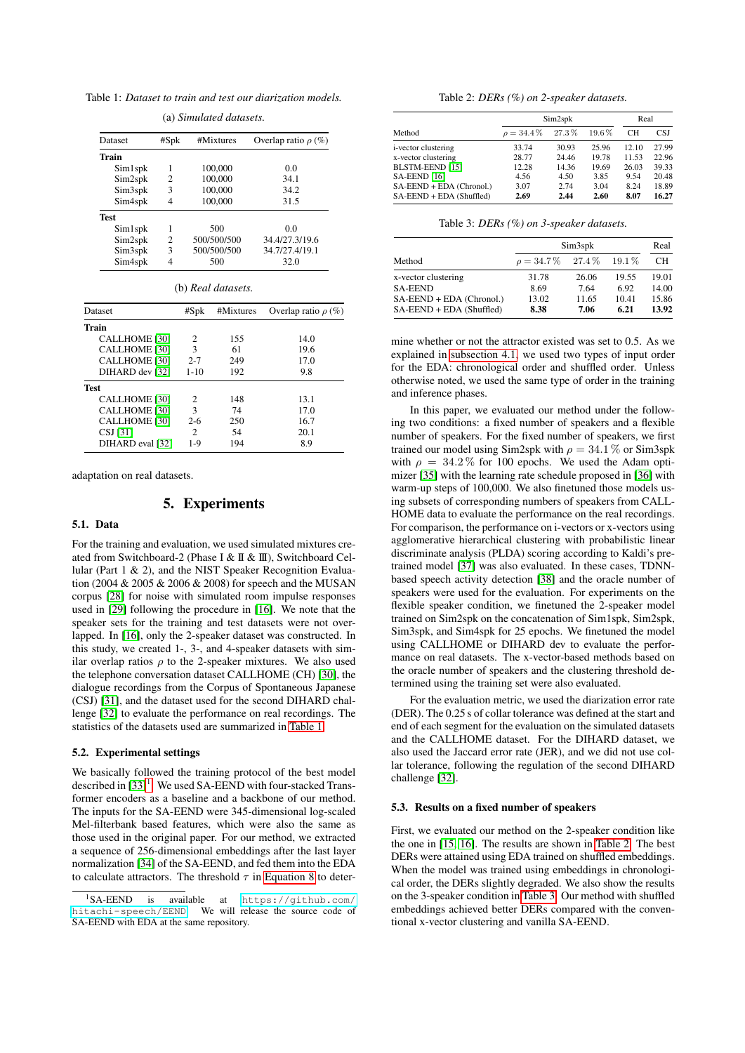<span id="page-2-0"></span>Table 1: *Dataset to train and test our diarization models.*

| <b>Dataset</b>      | #Spk | #Mixtures   | Overlap ratio $\rho$ (%) |
|---------------------|------|-------------|--------------------------|
| Train               |      |             |                          |
| Sim1spk             | 1    | 100,000     | 0.0                      |
| Sim2spk             | 2    | 100,000     | 34.1                     |
| Sim <sub>3spk</sub> | 3    | 100,000     | 34.2                     |
| Sim4spk             | 4    | 100,000     | 31.5                     |
| <b>Test</b>         |      |             |                          |
| Sim1spk             | 1    | 500         | 0.0                      |
| Sim2spk             | 2    | 500/500/500 | 34.4/27.3/19.6           |
| Sim3spk             | 3    | 500/500/500 | 34.7/27.4/19.1           |
| Sim4spk             | 4    | 500         | 32.0                     |

(a) *Simulated datasets.*

| Dataset              | #Spk                        | #Mixtures | Overlap ratio $\rho$ (%) |
|----------------------|-----------------------------|-----------|--------------------------|
| Train                |                             |           |                          |
| <b>CALLHOME</b> [30] | $\mathcal{D}_{\mathcal{L}}$ | 155       | 14.0                     |
| <b>CALLHOME</b> [30] | 3                           | 61        | 19.6                     |
| <b>CALLHOME</b> [30] | $2 - 7$                     | 249       | 17.0                     |
| DIHARD dev [32]      | $1 - 10$                    | 192       | 9.8                      |
| <b>Test</b>          |                             |           |                          |
| <b>CALLHOME</b> [30] | $\mathcal{D}_{\mathcal{L}}$ | 148       | 13.1                     |
| <b>CALLHOME</b> [30] | 3                           | 74        | 17.0                     |
| <b>CALLHOME</b> [30] | $2-6$                       | 250       | 16.7                     |
| CSJ[31]              | 2                           | 54        | 20.1                     |
| DIHARD eval [32]     | $1-9$                       | 194       | 8.9                      |

adaptation on real datasets.

### 5. Experiments

## 5.1. Data

For the training and evaluation, we used simulated mixtures created from Switchboard-2 (Phase I & II & III), Switchboard Cellular (Part 1 & 2), and the NIST Speaker Recognition Evaluation (2004 & 2005 & 2006 & 2008) for speech and the MUSAN corpus [\[28\]](#page-4-30) for noise with simulated room impulse responses used in [\[29\]](#page-4-31) following the procedure in [\[16\]](#page-4-15). We note that the speaker sets for the training and test datasets were not overlapped. In [\[16\]](#page-4-15), only the 2-speaker dataset was constructed. In this study, we created 1-, 3-, and 4-speaker datasets with similar overlap ratios  $\rho$  to the 2-speaker mixtures. We also used the telephone conversation dataset CALLHOME (CH) [\[30\]](#page-4-27), the dialogue recordings from the Corpus of Spontaneous Japanese (CSJ) [\[31\]](#page-4-29), and the dataset used for the second DIHARD challenge [\[32\]](#page-4-28) to evaluate the performance on real recordings. The statistics of the datasets used are summarized in [Table 1.](#page-2-0)

#### 5.2. Experimental settings

We basically followed the training protocol of the best model described in  $[33]$ <sup>[1](#page-2-1)</sup>. We used SA-EEND with four-stacked Transformer encoders as a baseline and a backbone of our method. The inputs for the SA-EEND were 345-dimensional log-scaled Mel-filterbank based features, which were also the same as those used in the original paper. For our method, we extracted a sequence of 256-dimensional embeddings after the last layer normalization [\[34\]](#page-4-33) of the SA-EEND, and fed them into the EDA to calculate attractors. The threshold  $\tau$  in [Equation 8](#page-1-4) to deter-

| Table 2: $DERs$ (%) on 2-speaker datasets. |  |  |  |
|--------------------------------------------|--|--|--|
|--------------------------------------------|--|--|--|

<span id="page-2-2"></span>

|                             | Sim2spk         | Real  |       |       |       |
|-----------------------------|-----------------|-------|-------|-------|-------|
| Method                      | $\rho = 34.4\%$ | 27.3% | 19.6% | CН    | CSJ   |
| <i>i</i> -vector clustering | 33.74           | 30.93 | 25.96 | 12.10 | 27.99 |
| x-vector clustering         | 28.77           | 24.46 | 19.78 | 11.53 | 22.96 |
| BLSTM-EEND [15]             | 12.28           | 14.36 | 19.69 | 26.03 | 39.33 |
| SA-EEND [16]                | 4.56            | 4.50  | 3.85  | 9.54  | 20.48 |
| SA-EEND + EDA (Chronol.)    | 3.07            | 2.74  | 3.04  | 8.24  | 18.89 |
| SA-EEND + EDA (Shuffled)    | 2.69            | 2.44  | 2.60  | 8.07  | 16.27 |

<span id="page-2-3"></span>

|                          | Sim3spk                |       |          |           |  |  |
|--------------------------|------------------------|-------|----------|-----------|--|--|
| Method                   | $\rho = 34.7\%$ 27.4\% |       | $19.1\%$ | <b>CH</b> |  |  |
| x-vector clustering      | 31.78                  | 26.06 | 19.55    | 19.01     |  |  |
| <b>SA-EEND</b>           | 8.69                   | 7.64  | 6.92     | 14.00     |  |  |
| SA-EEND + EDA (Chronol.) | 13.02                  | 11.65 | 10.41    | 15.86     |  |  |
| SA-EEND + EDA (Shuffled) | 8.38                   | 7.06  | 6.21     | 13.92     |  |  |

mine whether or not the attractor existed was set to 0.5. As we explained in [subsection 4.1,](#page-1-5) we used two types of input order for the EDA: chronological order and shuffled order. Unless otherwise noted, we used the same type of order in the training and inference phases.

In this paper, we evaluated our method under the following two conditions: a fixed number of speakers and a flexible number of speakers. For the fixed number of speakers, we first trained our model using Sim2spk with  $\rho = 34.1\%$  or Sim3spk with  $\rho = 34.2\%$  for 100 epochs. We used the Adam optimizer [\[35\]](#page-4-34) with the learning rate schedule proposed in [\[36\]](#page-4-35) with warm-up steps of 100,000. We also finetuned those models using subsets of corresponding numbers of speakers from CALL-HOME data to evaluate the performance on the real recordings. For comparison, the performance on i-vectors or x-vectors using agglomerative hierarchical clustering with probabilistic linear discriminate analysis (PLDA) scoring according to Kaldi's pretrained model [\[37\]](#page-4-36) was also evaluated. In these cases, TDNNbased speech activity detection [\[38\]](#page-4-37) and the oracle number of speakers were used for the evaluation. For experiments on the flexible speaker condition, we finetuned the 2-speaker model trained on Sim2spk on the concatenation of Sim1spk, Sim2spk, Sim3spk, and Sim4spk for 25 epochs. We finetuned the model using CALLHOME or DIHARD dev to evaluate the performance on real datasets. The x-vector-based methods based on the oracle number of speakers and the clustering threshold determined using the training set were also evaluated.

For the evaluation metric, we used the diarization error rate (DER). The 0.25 s of collar tolerance was defined at the start and end of each segment for the evaluation on the simulated datasets and the CALLHOME dataset. For the DIHARD dataset, we also used the Jaccard error rate (JER), and we did not use collar tolerance, following the regulation of the second DIHARD challenge [\[32\]](#page-4-28).

#### 5.3. Results on a fixed number of speakers

First, we evaluated our method on the 2-speaker condition like the one in [\[15,](#page-4-14) [16\]](#page-4-15). The results are shown in [Table 2.](#page-2-2) The best DERs were attained using EDA trained on shuffled embeddings. When the model was trained using embeddings in chronological order, the DERs slightly degraded. We also show the results on the 3-speaker condition in [Table 3.](#page-2-3) Our method with shuffled embeddings achieved better DERs compared with the conventional x-vector clustering and vanilla SA-EEND.

<span id="page-2-1"></span> ${}^{1}S$ A-EEND is available at [https://github.com/](https://github.com/hitachi-speech/EEND) [hitachi-speech/EEND](https://github.com/hitachi-speech/EEND). We will release the source code of SA-EEND with EDA at the same repository.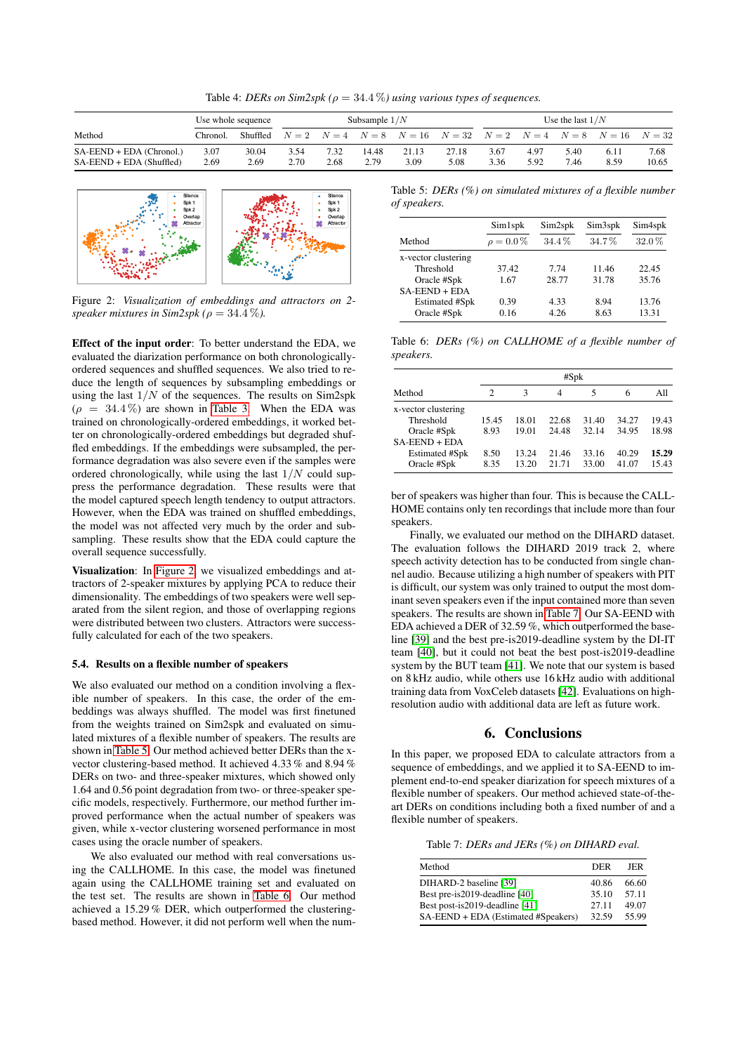Table 4: *DERs on Sim2spk* ( $\rho = 34.4\%$ ) using various types of sequences.

|                                                        | Use whole sequence |               | Subsample $1/N$ |              |               |               | Use the last $1/N$                                                                  |              |              |              |              |               |
|--------------------------------------------------------|--------------------|---------------|-----------------|--------------|---------------|---------------|-------------------------------------------------------------------------------------|--------------|--------------|--------------|--------------|---------------|
| Method                                                 | Chronol.           | Shuffled      |                 |              |               |               | $N = 2$ $N = 4$ $N = 8$ $N = 16$ $N = 32$ $N = 2$ $N = 4$ $N = 8$ $N = 16$ $N = 32$ |              |              |              |              |               |
| SA-EEND + EDA (Chronol.)<br>$SA-EEND + EDA$ (Shuffled) | 3.07<br>2.69       | 30.04<br>2.69 | 3.54<br>2.70    | 7.32<br>2.68 | 14.48<br>2.79 | 21.13<br>3.09 | 27.18<br>5.08                                                                       | 3.67<br>3.36 | 4.97<br>5.92 | 5.40<br>7.46 | 6.11<br>8.59 | 7.68<br>10.65 |

<span id="page-3-0"></span>

Figure 2: *Visualization of embeddings and attractors on 2 speaker mixtures in Sim2spk (* $\rho = 34.4\%$ *).* 

Effect of the input order: To better understand the EDA, we evaluated the diarization performance on both chronologicallyordered sequences and shuffled sequences. We also tried to reduce the length of sequences by subsampling embeddings or using the last  $1/N$  of the sequences. The results on Sim2spk  $(\rho = 34.4\%)$  are shown in [Table 3.](#page-2-3) When the EDA was trained on chronologically-ordered embeddings, it worked better on chronologically-ordered embeddings but degraded shuffled embeddings. If the embeddings were subsampled, the performance degradation was also severe even if the samples were ordered chronologically, while using the last  $1/N$  could suppress the performance degradation. These results were that the model captured speech length tendency to output attractors. However, when the EDA was trained on shuffled embeddings, the model was not affected very much by the order and subsampling. These results show that the EDA could capture the overall sequence successfully.

Visualization: In [Figure 2,](#page-3-0) we visualized embeddings and attractors of 2-speaker mixtures by applying PCA to reduce their dimensionality. The embeddings of two speakers were well separated from the silent region, and those of overlapping regions were distributed between two clusters. Attractors were successfully calculated for each of the two speakers.

#### 5.4. Results on a flexible number of speakers

We also evaluated our method on a condition involving a flexible number of speakers. In this case, the order of the embeddings was always shuffled. The model was first finetuned from the weights trained on Sim2spk and evaluated on simulated mixtures of a flexible number of speakers. The results are shown in [Table 5.](#page-3-1) Our method achieved better DERs than the xvector clustering-based method. It achieved 4.33 % and 8.94 % DERs on two- and three-speaker mixtures, which showed only 1.64 and 0.56 point degradation from two- or three-speaker specific models, respectively. Furthermore, our method further improved performance when the actual number of speakers was given, while x-vector clustering worsened performance in most cases using the oracle number of speakers.

We also evaluated our method with real conversations using the CALLHOME. In this case, the model was finetuned again using the CALLHOME training set and evaluated on the test set. The results are shown in [Table 6.](#page-3-2) Our method achieved a 15.29 % DER, which outperformed the clusteringbased method. However, it did not perform well when the num-

<span id="page-3-1"></span>Table 5: *DERs (%) on simulated mixtures of a flexible number of speakers.*

|                       | Sim1spk        | Sim2spk | Sim3spk  | Sim4spk |
|-----------------------|----------------|---------|----------|---------|
| Method                | $\rho = 0.0\%$ | 34.4%   | $34.7\%$ | 32.0%   |
| x-vector clustering   |                |         |          |         |
| Threshold             | 37.42          | 774     | 11.46    | 22.45   |
| Oracle #Spk           | 1.67           | 28.77   | 31.78    | 35.76   |
| $SA-EEND + EDA$       |                |         |          |         |
| <b>Estimated #Spk</b> | 0.39           | 4.33    | 8.94     | 13.76   |
| Oracle #Spk           | 0.16           | 4.26    | 8.63     | 13.31   |

<span id="page-3-2"></span>Table 6: *DERs (%) on CALLHOME of a flexible number of speakers.*

|                     | #Spk  |       |       |       |       |       |  |  |
|---------------------|-------|-------|-------|-------|-------|-------|--|--|
| Method              | 2     | 3     | 4     | 5     | 6     | All   |  |  |
| x-vector clustering |       |       |       |       |       |       |  |  |
| Threshold           | 15.45 | 18.01 | 22.68 | 31.40 | 34.27 | 19.43 |  |  |
| Oracle #Spk         | 8.93  | 19.01 | 24.48 | 32.14 | 34.95 | 18.98 |  |  |
| $SA$ -EEND + EDA    |       |       |       |       |       |       |  |  |
| Estimated #Spk      | 8.50  | 13.24 | 21.46 | 33.16 | 40.29 | 15.29 |  |  |
| Oracle #Spk         | 8.35  | 13.20 | 2171  | 33.00 | 41.07 | 15.43 |  |  |

ber of speakers was higher than four. This is because the CALL-HOME contains only ten recordings that include more than four speakers.

Finally, we evaluated our method on the DIHARD dataset. The evaluation follows the DIHARD 2019 track 2, where speech activity detection has to be conducted from single channel audio. Because utilizing a high number of speakers with PIT is difficult, our system was only trained to output the most dominant seven speakers even if the input contained more than seven speakers. The results are shown in [Table 7.](#page-3-3) Our SA-EEND with EDA achieved a DER of 32.59 %, which outperformed the baseline [\[39\]](#page-4-38) and the best pre-is2019-deadline system by the DI-IT team [\[40\]](#page-4-39), but it could not beat the best post-is2019-deadline system by the BUT team [\[41\]](#page-4-40). We note that our system is based on 8 kHz audio, while others use 16 kHz audio with additional training data from VoxCeleb datasets [\[42\]](#page-4-41). Evaluations on highresolution audio with additional data are left as future work.

# 6. Conclusions

In this paper, we proposed EDA to calculate attractors from a sequence of embeddings, and we applied it to SA-EEND to implement end-to-end speaker diarization for speech mixtures of a flexible number of speakers. Our method achieved state-of-theart DERs on conditions including both a fixed number of and a flexible number of speakers.

<span id="page-3-3"></span>Table 7: *DERs and JERs (%) on DIHARD eval.*

| Method                              | DER   | JER.  |
|-------------------------------------|-------|-------|
| DIHARD-2 baseline [39]              | 40.86 | 66.60 |
| Best pre-is2019-deadline [40]       | 35.10 | 57.11 |
| Best post-is2019-deadline [41]      | 27.11 | 49.07 |
| SA-EEND + EDA (Estimated #Speakers) | 32.59 | 55.99 |